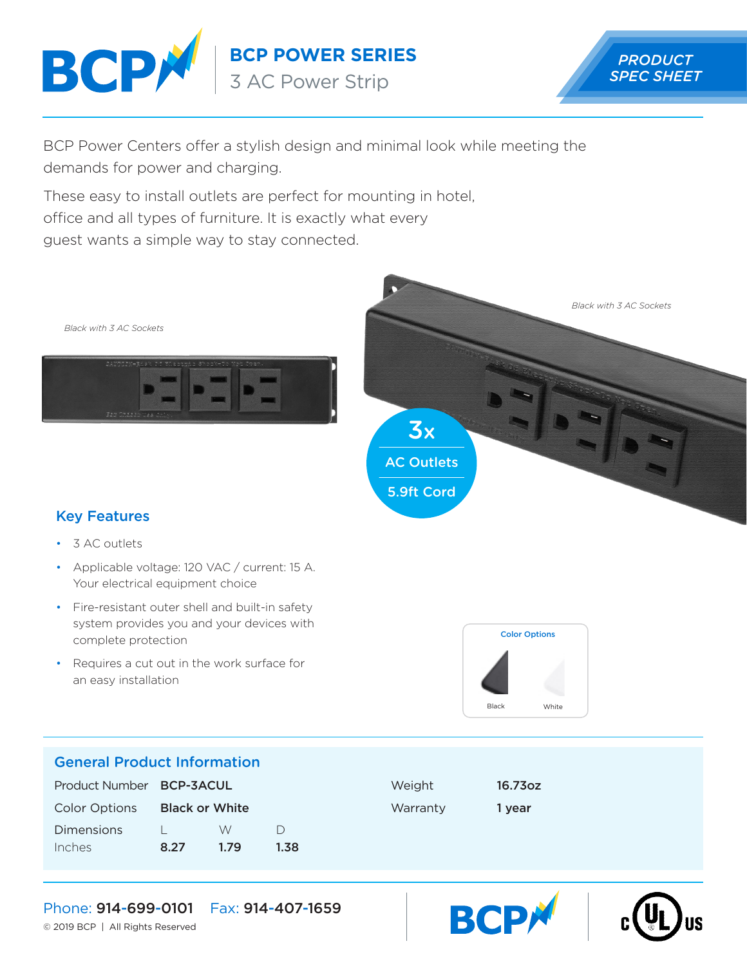

**BCP POWER SERIES**

3 AC Power Strip



BCP Power Centers offer a stylish design and minimal look while meeting the demands for power and charging.

These easy to install outlets are perfect for mounting in hotel, office and all types of furniture. It is exactly what every guest wants a simple way to stay connected.





## Key Features

- 3 AC outlets
- Applicable voltage: 120 VAC / current: 15 A. Your electrical equipment choice
- Fire-resistant outer shell and built-in safety system provides you and your devices with complete protection
- Requires a cut out in the work surface for an easy installation



**BCP** 

### General Product Information

| Product Number BCP-3ACUL |                       |      |      | Weight   | 16.73oz |
|--------------------------|-----------------------|------|------|----------|---------|
| <b>Color Options</b>     | <b>Black or White</b> |      |      | Warranty | 1 vear  |
| <b>Dimensions</b>        |                       | W    |      |          |         |
| Inches                   | 8.27                  | 1.79 | 1.38 |          |         |



© 2019 BCP | All Rights Reserved